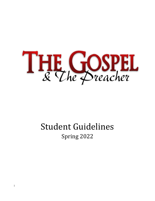

# Student Guidelines Spring 2022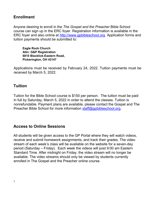## Enrollment

Anyone desiring to enroll in the The Gospel and the Preacher Bible School course can sign up in the ERC foyer. Registration information is available in the ERC foyer and also online at http://www.gpbibleschool.org. Application forms and tuition payments should be submitted to:

Eagle Rock Church Attn: G&P Registration 6810 Blacklick-Eastern Road, Pickerington, OH 43147

Applications must be received by February 24, 2022. Tuition payments must be received by March 5, 2022.

## **Tuition**

Tuition for the Bible School course is \$150 per person. The tuition must be paid in full by Saturday, March 5, 2022 in order to attend the classes. Tuition is nonrefundable. Payment plans are available, please contact the Gospel and The Preacher Bible School for more information staff@gpbibleschool.org.

#### Access to Online Sessions

All students will be given access to the GP Portal where they will watch videos, receive and submit homework assignments, and track their grades. The video stream of each week's class will be available on the website for a seven-day period (Saturday – Friday). Each week the videos will post 9:00 am Eastern Standard Time. After midnight on Friday, the video stream will no longer be available. The video streams should only be viewed by students currently enrolled in The Gospel and the Preacher online course.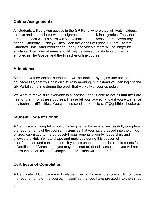# Online Assignments

All students will be given access to the GP Portal where they will watch videos, receive and submit homework assignments, and track their grades. The video stream of each week's class will be available on the website for a seven-day period (Saturday – Friday). Each week the videos will post 9:00 am Eastern Standard Time. After midnight on Friday, the video stream will no longer be available. The video streams should only be viewed by students currently enrolled in The Gospel and the Preacher online course.

## **Attendance**

Since GP will be online, attendance will be tracked by logins into the portal. It is not necessary that you login on Saturday morning, but instead you can login to the GP Portal sometime during the week that works with your schedule.

We want to make sure everyone is successful and is able to get all that the Lord has for them from these courses. Please let your advisor know if you experience any technical difficulties. You can also send an email to staff@gpbibleschool.org.

# Student Code of Honor

A Certificate of Completion will only be given to those who successfully complete the requirements of the course. It signifies that you have pressed into the things of God, submitted to the purposeful requirements given by leadership, and allowed the Holy Spirit to shape and mold you during this season of transformation and consecration. If you are unable to meet the requirements for a Certificate of Completion, you may continue to attend classes, but you will not be issued a Certificate of Completion and tuition will not be refunded.

# Certificate of Completion

A Certificate of Completion will only be given to those who successfully complete the requirements of the course. It signifies that you have pressed into the things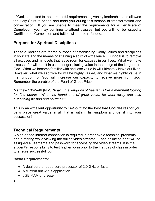of God, submitted to the purposeful requirements given by leadership, and allowed the Holy Spirit to shape and mold you during this season of transformation and consecration. If you are unable to meet the requirements for a Certificate of Completion, you may continue to attend classes, but you will not be issued a Certificate of Completion and tuition will not be refunded.

# Purpose for Spiritual Disciplines

These guidelines are for the purpose of establishing Godly values and disciplines in your life and the means of attaining a spirit of excellence. Our goal is to remove all excuses and mindsets that leave room for excuses in our lives. What we make excuses for will result in us no longer placing value in the things of the kingdom of God. What we become familiar with and lose value in will ultimately leave our lives. However, what we sacrifice for will be highly valued, and what we highly value in the Kingdom of God will increase our capacity to receive more from God! Remember the parable of the Pearl of Great Price:

Matthew 13:45-46 (NIV) "Again, the kingdom of heaven is like a merchant looking for fine pearls. When he found one of great value, he went away and sold everything he had and bought it."

This is an excellent opportunity to "sell-out" for the best that God desires for you! Let's place great value in all that is within His kingdom and get it into your possession!

#### Technical Requirements

A high-speed internet connection is required in order avoid technical problems and buffering while viewing the online video streams. Each online student will be assigned a username and password for accessing the video streams. It is the student's responsibility to test his/her login prior to the first day of class in order to ensure successful login.

#### Basic Requirements:

- A dual core or quad core processor of 2.0 GHz or faster
- A current anti-virus application
- 8GB RAM or greater